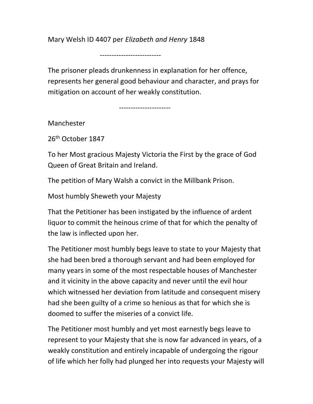Mary Welsh ID 4407 per Elizabeth and Henry 1848

--------------------------

The prisoner pleads drunkenness in explanation for her offence, represents her general good behaviour and character, and prays for mitigation on account of her weakly constitution.

----------------------

Manchester

26<sup>th</sup> October 1847

To her Most gracious Majesty Victoria the First by the grace of God Queen of Great Britain and Ireland.

The petition of Mary Walsh a convict in the Millbank Prison.

Most humbly Sheweth your Majesty

That the Petitioner has been instigated by the influence of ardent liquor to commit the heinous crime of that for which the penalty of the law is inflected upon her.

The Petitioner most humbly begs leave to state to your Majesty that she had been bred a thorough servant and had been employed for many years in some of the most respectable houses of Manchester and it vicinity in the above capacity and never until the evil hour which witnessed her deviation from latitude and consequent misery had she been guilty of a crime so henious as that for which she is doomed to suffer the miseries of a convict life.

The Petitioner most humbly and yet most earnestly begs leave to represent to your Majesty that she is now far advanced in years, of a weakly constitution and entirely incapable of undergoing the rigour of life which her folly had plunged her into requests your Majesty will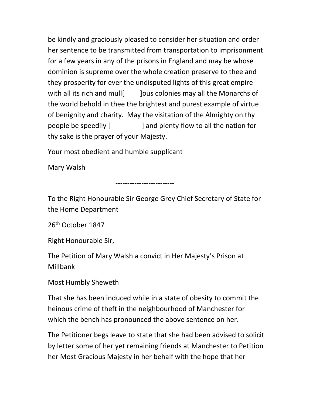be kindly and graciously pleased to consider her situation and order her sentence to be transmitted from transportation to imprisonment for a few years in any of the prisons in England and may be whose dominion is supreme over the whole creation preserve to thee and they prosperity for ever the undisputed lights of this great empire with all its rich and mull | ]ous colonies may all the Monarchs of the world behold in thee the brightest and purest example of virtue of benignity and charity. May the visitation of the Almighty on thy people be speedily [ ] and plenty flow to all the nation for thy sake is the prayer of your Majesty.

Your most obedient and humble supplicant

Mary Walsh

-------------------------

To the Right Honourable Sir George Grey Chief Secretary of State for the Home Department

26th October 1847

Right Honourable Sir,

The Petition of Mary Walsh a convict in Her Majesty's Prison at Millbank

Most Humbly Sheweth

That she has been induced while in a state of obesity to commit the heinous crime of theft in the neighbourhood of Manchester for which the bench has pronounced the above sentence on her.

The Petitioner begs leave to state that she had been advised to solicit by letter some of her yet remaining friends at Manchester to Petition her Most Gracious Majesty in her behalf with the hope that her